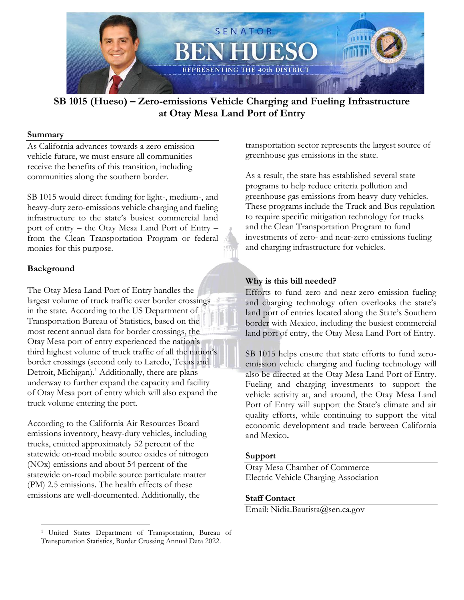

# **SB 1015 (Hueso) – Zero-emissions Vehicle Charging and Fueling Infrastructure at Otay Mesa Land Port of Entry**

### **Summary**

As California advances towards a zero emission vehicle future, we must ensure all communities receive the benefits of this transition, including communities along the southern border.

SB 1015 would direct funding for light-, medium-, and heavy-duty zero-emissions vehicle charging and fueling infrastructure to the state's busiest commercial land port of entry – the Otay Mesa Land Port of Entry – from the Clean Transportation Program or federal monies for this purpose.

# **Background**

 $\overline{a}$ 

The Otay Mesa Land Port of Entry handles the largest volume of truck traffic over border crossings in the state. According to the US Department of Transportation Bureau of Statistics, based on the most recent annual data for border crossings, the Otay Mesa port of entry experienced the nation's third highest volume of truck traffic of all the nation's border crossings (second only to Laredo, Texas and Detroit, Michigan).<sup>1</sup> Additionally, there are plans underway to further expand the capacity and facility of Otay Mesa port of entry which will also expand the truck volume entering the port.

According to the California Air Resources Board emissions inventory, heavy-duty vehicles, including trucks, emitted approximately 52 percent of the statewide on-road mobile source oxides of nitrogen (NOx) emissions and about 54 percent of the statewide on-road mobile source particulate matter (PM) 2.5 emissions. The health effects of these emissions are well-documented. Additionally, the

transportation sector represents the largest source of greenhouse gas emissions in the state.

As a result, the state has established several state programs to help reduce criteria pollution and greenhouse gas emissions from heavy-duty vehicles. These programs include the Truck and Bus regulation to require specific mitigation technology for trucks and the Clean Transportation Program to fund investments of zero- and near-zero emissions fueling and charging infrastructure for vehicles.

# **Why is this bill needed?**

Efforts to fund zero and near-zero emission fueling and charging technology often overlooks the state's land port of entries located along the State's Southern border with Mexico, including the busiest commercial land port of entry, the Otay Mesa Land Port of Entry.

SB 1015 helps ensure that state efforts to fund zeroemission vehicle charging and fueling technology will also be directed at the Otay Mesa Land Port of Entry. Fueling and charging investments to support the vehicle activity at, and around, the Otay Mesa Land Port of Entry will support the State's climate and air quality efforts, while continuing to support the vital economic development and trade between California and Mexico**.**

### **Support**

Otay Mesa Chamber of Commerce Electric Vehicle Charging Association

# **Staff Contact**

Email: Nidia.Bautista@sen.ca.gov

<sup>1</sup> United States Department of Transportation, Bureau of Transportation Statistics, Border Crossing Annual Data 2022.